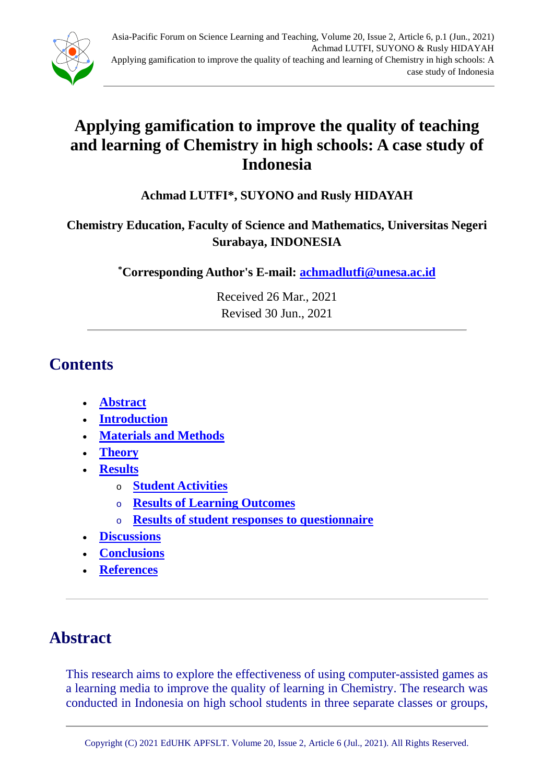

# **Applying gamification to improve the quality of teaching and learning of Chemistry in high schools: A case study of Indonesia**

### **Achmad LUTFI\*, SUYONO and Rusly HIDAYAH**

### **Chemistry Education, Faculty of Science and Mathematics, Universitas Negeri Surabaya, INDONESIA**

**\* Corresponding Author's E-mail: [achmadlutfi@unesa.ac.id](mailto:achmadlutfi@unesa.ac.id)**

Received 26 Mar., 2021 Revised 30 Jun., 2021

## **Contents**

- **[Abstract](#page-0-0)**
- **Introduction**
- **Materials and Methods**
- **Theory**
- **Results**
	- <sup>o</sup> **Student Activities**
	- <sup>o</sup> **Results of Learning Outcomes**
	- <sup>o</sup> **Results of student responses to questionnaire**
- **Discussions**
- **Conclusions**
- **References**

# <span id="page-0-0"></span>**Abstract**

This research aims to explore the effectiveness of using computer-assisted games as a learning media to improve the quality of learning in Chemistry. The research was conducted in Indonesia on high school students in three separate classes or groups,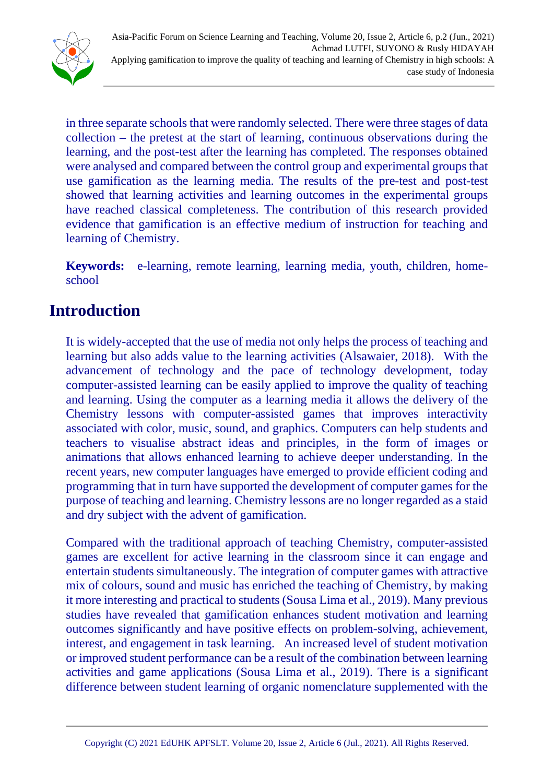

in three separate schools that were randomly selected. There were three stages of data collection – the pretest at the start of learning, continuous observations during the learning, and the post-test after the learning has completed. The responses obtained were analysed and compared between the control group and experimental groups that use gamification as the learning media. The results of the pre-test and post-test showed that learning activities and learning outcomes in the experimental groups have reached classical completeness. The contribution of this research provided evidence that gamification is an effective medium of instruction for teaching and learning of Chemistry.

**Keywords:** e-learning, remote learning, learning media, youth, children, homeschool

## **Introduction**

It is widely-accepted that the use of media not only helps the process of teaching and learning but also adds value to the learning activities (Alsawaier, 2018). With the advancement of technology and the pace of technology development, today computer-assisted learning can be easily applied to improve the quality of teaching and learning. Using the computer as a learning media it allows the delivery of the Chemistry lessons with computer-assisted games that improves interactivity associated with color, music, sound, and graphics. Computers can help students and teachers to visualise abstract ideas and principles, in the form of images or animations that allows enhanced learning to achieve deeper understanding. In the recent years, new computer languages have emerged to provide efficient coding and programming that in turn have supported the development of computer games for the purpose of teaching and learning. Chemistry lessons are no longer regarded as a staid and dry subject with the advent of gamification.

Compared with the traditional approach of teaching Chemistry, computer-assisted games are excellent for active learning in the classroom since it can engage and entertain students simultaneously. The integration of computer games with attractive mix of colours, sound and music has enriched the teaching of Chemistry, by making it more interesting and practical to students (Sousa Lima et al., 2019). Many previous studies have revealed that gamification enhances student motivation and learning outcomes significantly and have positive effects on problem-solving, achievement, interest, and engagement in task learning. An increased level of student motivation or improved student performance can be a result of the combination between learning activities and game applications (Sousa Lima et al., 2019). There is a significant difference between student learning of organic nomenclature supplemented with the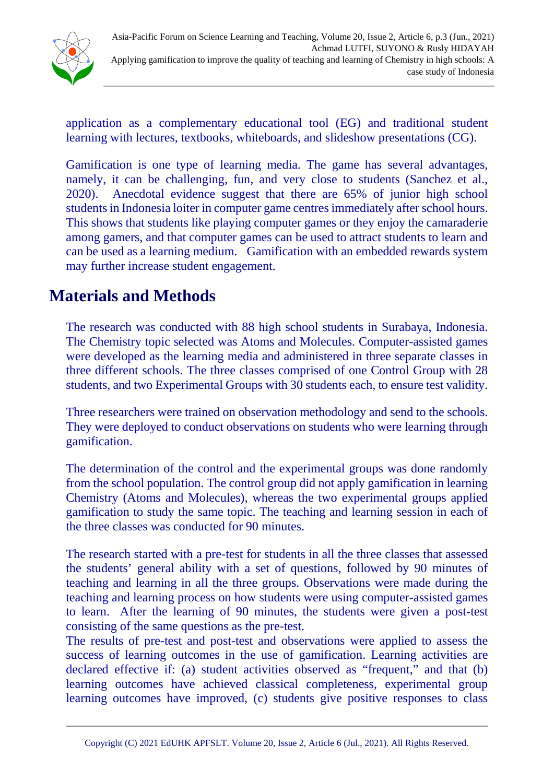

application as a complementary educational tool (EG) and traditional student learning with lectures, textbooks, whiteboards, and slideshow presentations (CG).

Gamification is one type of learning media. The game has several advantages, namely, it can be challenging, fun, and very close to students (Sanchez et al., 2020). Anecdotal evidence suggest that there are 65% of junior high school students in Indonesia loiter in computer game centres immediately after school hours. This shows that students like playing computer games or they enjoy the camaraderie among gamers, and that computer games can be used to attract students to learn and can be used as a learning medium. Gamification with an embedded rewards system may further increase student engagement.

## **Materials and Methods**

The research was conducted with 88 high school students in Surabaya, Indonesia. The Chemistry topic selected was Atoms and Molecules. Computer-assisted games were developed as the learning media and administered in three separate classes in three different schools. The three classes comprised of one Control Group with 28 students, and two Experimental Groups with 30 students each, to ensure test validity.

Three researchers were trained on observation methodology and send to the schools. They were deployed to conduct observations on students who were learning through gamification.

The determination of the control and the experimental groups was done randomly from the school population. The control group did not apply gamification in learning Chemistry (Atoms and Molecules), whereas the two experimental groups applied gamification to study the same topic. The teaching and learning session in each of the three classes was conducted for 90 minutes.

The research started with a pre-test for students in all the three classes that assessed the students' general ability with a set of questions, followed by 90 minutes of teaching and learning in all the three groups. Observations were made during the teaching and learning process on how students were using computer-assisted games to learn. After the learning of 90 minutes, the students were given a post-test consisting of the same questions as the pre-test.

The results of pre-test and post-test and observations were applied to assess the success of learning outcomes in the use of gamification. Learning activities are declared effective if: (a) student activities observed as "frequent," and that (b) learning outcomes have achieved classical completeness, experimental group learning outcomes have improved, (c) students give positive responses to class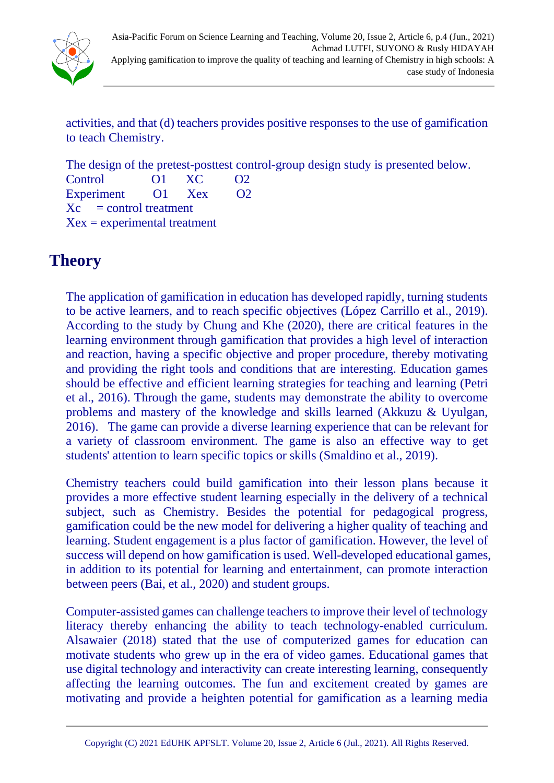

activities, and that (d) teachers provides positive responses to the use of gamification to teach Chemistry.

The design of the pretest-posttest control-group design study is presented below. Control O1 XC O2 Experiment O1 Xex O2  $Xc =$  control treatment  $Xex = *experimental* treatment$ 

## **Theory**

The application of gamification in education has developed rapidly, turning students to be active learners, and to reach specific objectives (López Carrillo et al., 2019). According to the study by Chung and Khe (2020), there are critical features in the learning environment through gamification that provides a high level of interaction and reaction, having a specific objective and proper procedure, thereby motivating and providing the right tools and conditions that are interesting. Education games should be effective and efficient learning strategies for teaching and learning (Petri et al., 2016). Through the game, students may demonstrate the ability to overcome problems and mastery of the knowledge and skills learned (Akkuzu & Uyulgan, 2016). The game can provide a diverse learning experience that can be relevant for a variety of classroom environment. The game is also an effective way to get students' attention to learn specific topics or skills (Smaldino et al., 2019).

Chemistry teachers could build gamification into their lesson plans because it provides a more effective student learning especially in the delivery of a technical subject, such as Chemistry. Besides the potential for pedagogical progress, gamification could be the new model for delivering a higher quality of teaching and learning. Student engagement is a plus factor of gamification. However, the level of success will depend on how gamification is used. Well-developed educational games, in addition to its potential for learning and entertainment, can promote interaction between peers (Bai, et al., 2020) and student groups.

Computer-assisted games can challenge teachers to improve their level of technology literacy thereby enhancing the ability to teach technology-enabled curriculum. Alsawaier (2018) stated that the use of computerized games for education can motivate students who grew up in the era of video games. Educational games that use digital technology and interactivity can create interesting learning, consequently affecting the learning outcomes. The fun and excitement created by games are motivating and provide a heighten potential for gamification as a learning media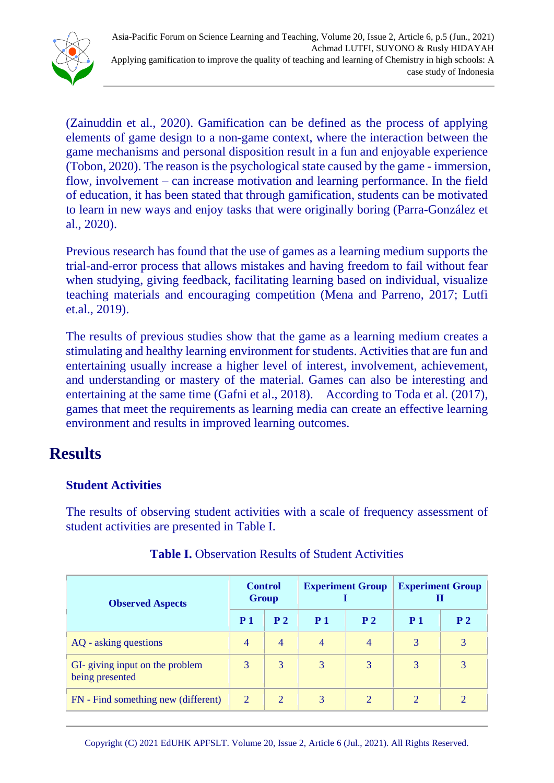

(Zainuddin et al., 2020). Gamification can be defined as the process of applying elements of game design to a non-game context, where the interaction between the game mechanisms and personal disposition result in a fun and enjoyable experience (Tobon, 2020). The reason is the psychological state caused by the game - immersion, flow, involvement – can increase motivation and learning performance. In the field of education, it has been stated that through gamification, students can be motivated to learn in new ways and enjoy tasks that were originally boring (Parra-González et al., 2020).

Previous research has found that the use of games as a learning medium supports the trial-and-error process that allows mistakes and having freedom to fail without fear when studying, giving feedback, facilitating learning based on individual, visualize teaching materials and encouraging competition (Mena and Parreno, 2017; Lutfi et.al., 2019).

The results of previous studies show that the game as a learning medium creates a stimulating and healthy learning environment for students. Activities that are fun and entertaining usually increase a higher level of interest, involvement, achievement, and understanding or mastery of the material. Games can also be interesting and entertaining at the same time (Gafni et al., 2018). According to Toda et al. (2017), games that meet the requirements as learning media can create an effective learning environment and results in improved learning outcomes.

### **Results**

### **Student Activities**

The results of observing student activities with a scale of frequency assessment of student activities are presented in Table I.

| <b>Observed Aspects</b>                            | <b>Control</b><br><b>Group</b> |                | <b>Experiment Group</b> |                | <b>Experiment Group</b> |                |
|----------------------------------------------------|--------------------------------|----------------|-------------------------|----------------|-------------------------|----------------|
|                                                    | P <sub>1</sub>                 | P <sub>2</sub> | <b>P</b> 1              | P <sub>2</sub> | P <sub>1</sub>          | P <sub>2</sub> |
| AQ - asking questions                              | $\overline{4}$                 | $\overline{4}$ | $\overline{4}$          | 4              | 3                       | 3              |
| GI- giving input on the problem<br>being presented | 3                              | 3              | 3                       | 3              | 3                       | 3              |
| FN - Find something new (different)                | $\overline{2}$                 | 2              | 3                       | $\overline{2}$ | 2                       | $\overline{2}$ |

#### **Table I.** Observation Results of Student Activities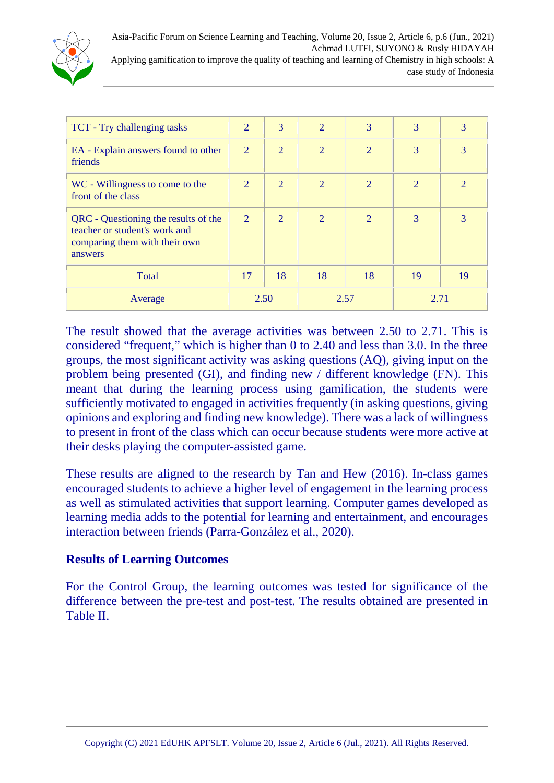

| TCT - Try challenging tasks                                                                                       | 2    | 3              | $\overline{2}$ | 3              | 3              | 3              |
|-------------------------------------------------------------------------------------------------------------------|------|----------------|----------------|----------------|----------------|----------------|
| EA - Explain answers found to other<br>friends                                                                    | 2    | $\overline{2}$ | $\overline{2}$ | $\overline{2}$ | 3              | 3              |
| WC - Willingness to come to the<br>front of the class                                                             | 2    | 2              | $\overline{2}$ | 2              | $\overline{2}$ | $\overline{2}$ |
| QRC - Questioning the results of the<br>teacher or student's work and<br>comparing them with their own<br>answers | 2    | 2              | $\overline{2}$ | $\overline{2}$ | 3              | 3              |
| Total                                                                                                             | 17   | 18             | 18             | 18             | 19             | 19             |
| Average                                                                                                           | 2.50 |                | 2.57           |                | 2.71           |                |

The result showed that the average activities was between 2.50 to 2.71. This is considered "frequent," which is higher than 0 to 2.40 and less than 3.0. In the three groups, the most significant activity was asking questions (AQ), giving input on the problem being presented (GI), and finding new / different knowledge (FN). This meant that during the learning process using gamification, the students were sufficiently motivated to engaged in activities frequently (in asking questions, giving opinions and exploring and finding new knowledge). There was a lack of willingness to present in front of the class which can occur because students were more active at their desks playing the computer-assisted game.

These results are aligned to the research by Tan and Hew (2016). In-class games encouraged students to achieve a higher level of engagement in the learning process as well as stimulated activities that support learning. Computer games developed as learning media adds to the potential for learning and entertainment, and encourages interaction between friends (Parra-González et al., 2020).

#### **Results of Learning Outcomes**

For the Control Group, the learning outcomes was tested for significance of the difference between the pre-test and post-test. The results obtained are presented in Table II.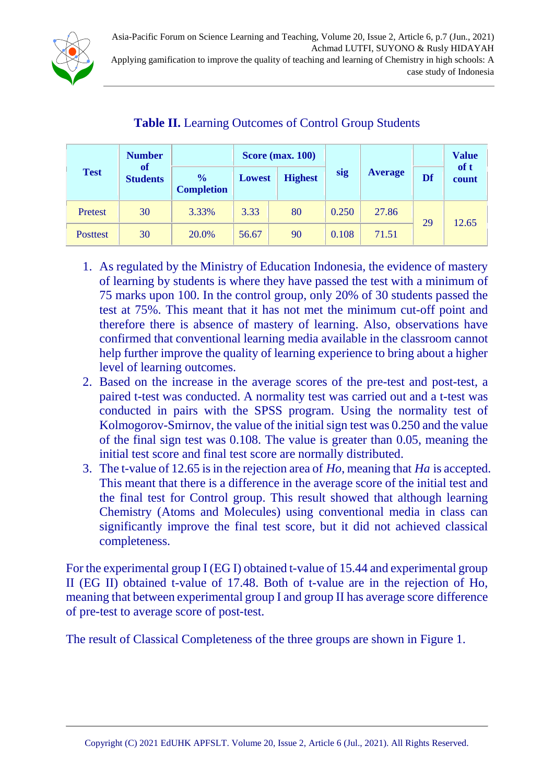

|                 | <b>Number</b>                | <b>Score (max. 100)</b>            |               |                |       |                      |               | <b>Value</b> |
|-----------------|------------------------------|------------------------------------|---------------|----------------|-------|----------------------|---------------|--------------|
| <b>Test</b>     | <b>of</b><br><b>Students</b> | $\frac{0}{0}$<br><b>Completion</b> | <b>Lowest</b> | <b>Highest</b> | sig   | <b>Average</b><br>Df | of t<br>count |              |
| Pretest         | 30                           | 3.33%                              | 3.33          | 80             | 0.250 | 27.86                | 29            | 12.65        |
| <b>Posttest</b> | 30                           | 20.0%                              | 56.67         | 90             | 0.108 | 71.51                |               |              |

### **Table II.** Learning Outcomes of Control Group Students

- 1. As regulated by the Ministry of Education Indonesia, the evidence of mastery of learning by students is where they have passed the test with a minimum of 75 marks upon 100. In the control group, only 20% of 30 students passed the test at 75%. This meant that it has not met the minimum cut-off point and therefore there is absence of mastery of learning. Also, observations have confirmed that conventional learning media available in the classroom cannot help further improve the quality of learning experience to bring about a higher level of learning outcomes.
- 2. Based on the increase in the average scores of the pre-test and post-test, a paired t-test was conducted. A normality test was carried out and a t-test was conducted in pairs with the SPSS program. Using the normality test of Kolmogorov-Smirnov, the value of the initial sign test was 0.250 and the value of the final sign test was 0.108. The value is greater than 0.05, meaning the initial test score and final test score are normally distributed.
- 3. The t-value of 12.65 is in the rejection area of *Ho*, meaning that *Ha* is accepted. This meant that there is a difference in the average score of the initial test and the final test for Control group. This result showed that although learning Chemistry (Atoms and Molecules) using conventional media in class can significantly improve the final test score, but it did not achieved classical completeness.

For the experimental group I (EG I) obtained t-value of 15.44 and experimental group II (EG II) obtained t-value of 17.48. Both of t-value are in the rejection of Ho, meaning that between experimental group I and group II has average score difference of pre-test to average score of post-test.

The result of Classical Completeness of the three groups are shown in Figure 1.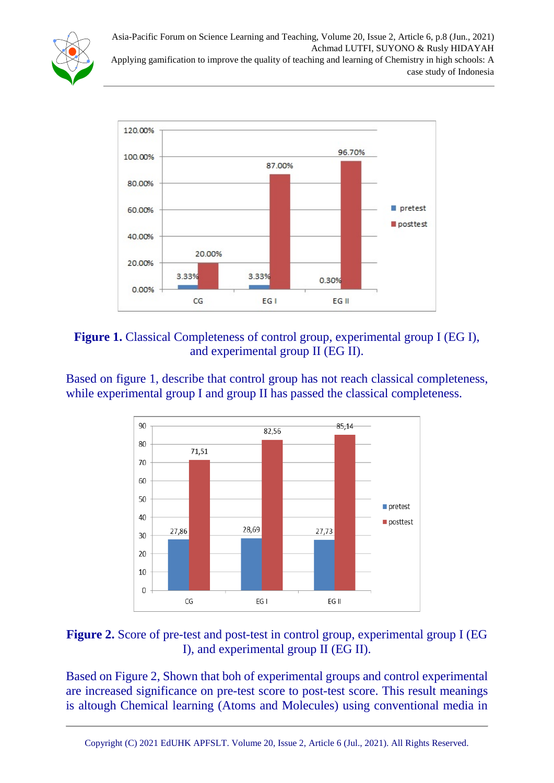Asia-Pacific Forum on Science Learning and Teaching, Volume 20, Issue 2, Article 6, p.8 (Jun., 2021) Achmad LUTFI, SUYONO & Rusly HIDAYAH Applying gamification to improve the quality of teaching and learning of Chemistry in high schools: A case study of Indonesia





#### **Figure 1.** Classical Completeness of control group, experimental group I (EG I), and experimental group II (EG II).

Based on figure 1, describe that control group has not reach classical completeness, while experimental group I and group II has passed the classical completeness.



### **Figure 2.** Score of pre-test and post-test in control group, experimental group I (EG I), and experimental group II (EG II).

Based on Figure 2, Shown that boh of experimental groups and control experimental are increased significance on pre-test score to post-test score. This result meanings is altough Chemical learning (Atoms and Molecules) using conventional media in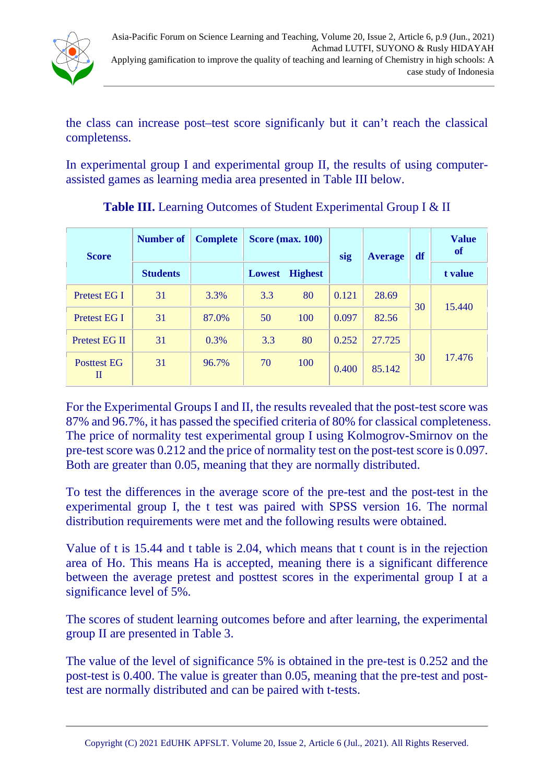

the class can increase post–test score significanly but it can't reach the classical completenss.

In experimental group I and experimental group II, the results of using computerassisted games as learning media area presented in Table III below.

| <b>Score</b>            | <b>Number of</b> | <b>Complete</b> |        | <b>Score (max. 100)</b> | sig   | <b>Average</b> | df | <b>Value</b><br><b>of</b> |
|-------------------------|------------------|-----------------|--------|-------------------------|-------|----------------|----|---------------------------|
|                         | <b>Students</b>  |                 | Lowest | <b>Highest</b>          |       |                |    | t value                   |
| Pretest EG I            | 31               | 3.3%            | 3.3    | 80                      | 0.121 | 28.69          | 30 | 15.440                    |
| Pretest EG I            | 31               | 87.0%           | 50     | 100                     | 0.097 | 82.56          |    |                           |
| Pretest EG II           | 31               | 0.3%            | 3.3    | 80                      | 0.252 | 27.725         |    |                           |
| <b>Posttest EG</b><br>П | 31               | 96.7%           | 70     | 100                     | 0.400 | 85.142         | 30 | 17.476                    |

**Table III.** Learning Outcomes of Student Experimental Group I & II

For the Experimental Groups I and II, the results revealed that the post-test score was 87% and 96.7%, it has passed the specified criteria of 80% for classical completeness. The price of normality test experimental group I using Kolmogrov-Smirnov on the pre-test score was 0.212 and the price of normality test on the post-test score is 0.097. Both are greater than 0.05, meaning that they are normally distributed.

To test the differences in the average score of the pre-test and the post-test in the experimental group I, the t test was paired with SPSS version 16. The normal distribution requirements were met and the following results were obtained.

Value of t is 15.44 and t table is 2.04, which means that t count is in the rejection area of Ho. This means Ha is accepted, meaning there is a significant difference between the average pretest and posttest scores in the experimental group I at a significance level of 5%.

The scores of student learning outcomes before and after learning, the experimental group II are presented in Table 3.

The value of the level of significance 5% is obtained in the pre-test is 0.252 and the post-test is 0.400. The value is greater than 0.05, meaning that the pre-test and posttest are normally distributed and can be paired with t-tests.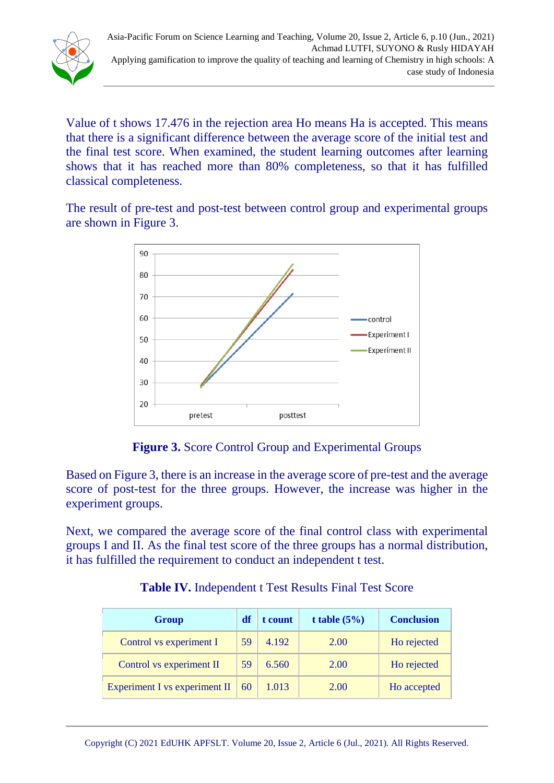

Value of t shows 17.476 in the rejection area Ho means Ha is accepted. This means that there is a significant difference between the average score of the initial test and the final test score. When examined, the student learning outcomes after learning shows that it has reached more than 80% completeness, so that it has fulfilled classical completeness.

The result of pre-test and post-test between control group and experimental groups are shown in Figure 3.



**Figure 3.** Score Control Group and Experimental Groups

Based on Figure 3, there is an increase in the average score of pre-test and the average score of post-test for the three groups. However, the increase was higher in the experiment groups.

Next, we compared the average score of the final control class with experimental groups I and II. As the final test score of the three groups has a normal distribution, it has fulfilled the requirement to conduct an independent t test.

| Group                         | df | t count | t table $(5%)$ | <b>Conclusion</b> |
|-------------------------------|----|---------|----------------|-------------------|
| Control vs experiment I       | 59 | 4.192   | 2.00           | Ho rejected       |
| Control vs experiment II      | 59 | 6.560   | 2.00           | Ho rejected       |
| Experiment I vs experiment II | 60 | 1.013   | 2.00           | Ho accepted       |

**Table IV.** Independent t Test Results Final Test Score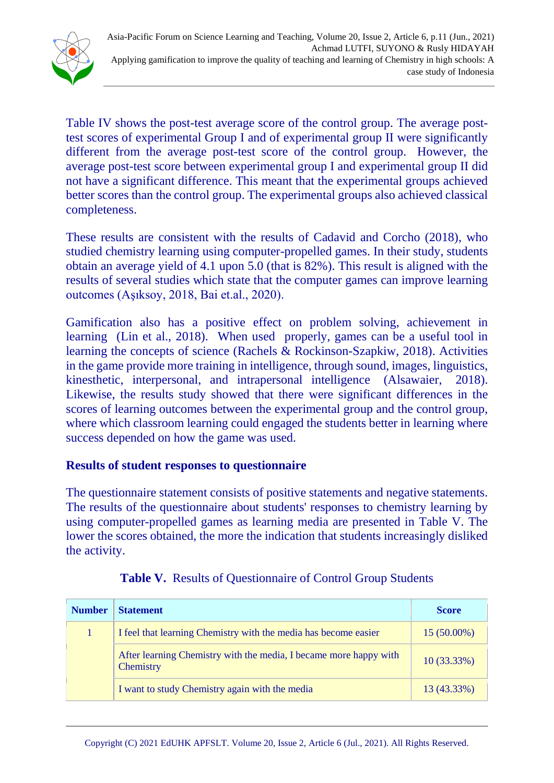

Table IV shows the post-test average score of the control group. The average posttest scores of experimental Group I and of experimental group II were significantly different from the average post-test score of the control group. However, the average post-test score between experimental group I and experimental group II did not have a significant difference. This meant that the experimental groups achieved better scores than the control group. The experimental groups also achieved classical completeness.

These results are consistent with the results of Cadavid and Corcho (2018), who studied chemistry learning using computer-propelled games. In their study, students obtain an average yield of 4.1 upon 5.0 (that is 82%). This result is aligned with the results of several studies which state that the computer games can improve learning outcomes (Aşıksoy, 2018, Bai et.al., 2020).

Gamification also has a positive effect on problem solving, achievement in learning (Lin et al., 2018). When used properly, games can be a useful tool in learning the concepts of science (Rachels & Rockinson-Szapkiw, 2018). Activities in the game provide more training in intelligence, through sound, images, linguistics, kinesthetic, interpersonal, and intrapersonal intelligence (Alsawaier, 2018). Likewise, the results study showed that there were significant differences in the scores of learning outcomes between the experimental group and the control group, where which classroom learning could engaged the students better in learning where success depended on how the game was used.

#### **Results of student responses to questionnaire**

The questionnaire statement consists of positive statements and negative statements. The results of the questionnaire about students' responses to chemistry learning by using computer-propelled games as learning media are presented in Table V. The lower the scores obtained, the more the indication that students increasingly disliked the activity.

| <b>Number</b> | <b>Statement</b>                                                               | <b>Score</b>  |
|---------------|--------------------------------------------------------------------------------|---------------|
|               | I feel that learning Chemistry with the media has become easier                | 15 (50.00%)   |
|               | After learning Chemistry with the media, I became more happy with<br>Chemistry | $10(33.33\%)$ |
|               | I want to study Chemistry again with the media                                 | 13 (43.33%)   |

|  |  |  |  | Table V. Results of Questionnaire of Control Group Students |
|--|--|--|--|-------------------------------------------------------------|
|--|--|--|--|-------------------------------------------------------------|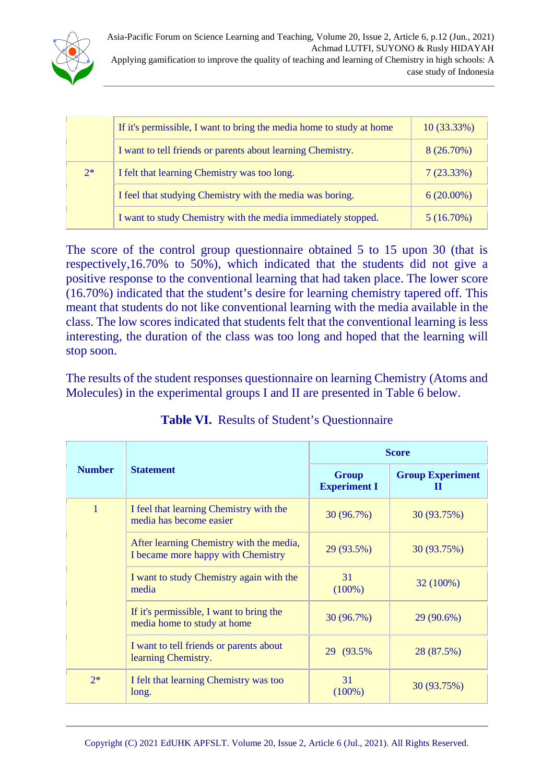

|      | If it's permissible, I want to bring the media home to study at home | 10 (33.33%)  |
|------|----------------------------------------------------------------------|--------------|
|      | I want to tell friends or parents about learning Chemistry.          | $8(26.70\%)$ |
| $2*$ | I felt that learning Chemistry was too long.                         | 7(23.33%)    |
|      | I feel that studying Chemistry with the media was boring.            | $6(20.00\%)$ |
|      | I want to study Chemistry with the media immediately stopped.        | 5(16.70%)    |

The score of the control group questionnaire obtained 5 to 15 upon 30 (that is respectively,16.70% to 50%), which indicated that the students did not give a positive response to the conventional learning that had taken place. The lower score (16.70%) indicated that the student's desire for learning chemistry tapered off. This meant that students do not like conventional learning with the media available in the class. The low scores indicated that students felt that the conventional learning is less interesting, the duration of the class was too long and hoped that the learning will stop soon.

The results of the student responses questionnaire on learning Chemistry (Atoms and Molecules) in the experimental groups I and II are presented in Table 6 below.

|                |                                                                                | <b>Score</b>                        |                              |  |  |
|----------------|--------------------------------------------------------------------------------|-------------------------------------|------------------------------|--|--|
| <b>Number</b>  | <b>Statement</b>                                                               | <b>Group</b><br><b>Experiment I</b> | <b>Group Experiment</b><br>н |  |  |
| $\overline{1}$ | I feel that learning Chemistry with the<br>media has become easier             | 30(96.7%)                           | 30 (93.75%)                  |  |  |
|                | After learning Chemistry with the media,<br>I became more happy with Chemistry | 29 (93.5%)                          | 30 (93.75%)                  |  |  |
|                | I want to study Chemistry again with the<br>media                              | 31<br>$(100\%)$                     | 32 (100%)                    |  |  |
|                | If it's permissible, I want to bring the<br>media home to study at home        | 30 (96.7%)                          | 29 (90.6%)                   |  |  |
|                | I want to tell friends or parents about<br>learning Chemistry.                 | 29 (93.5%)                          | 28 (87.5%)                   |  |  |
| $2*$           | I felt that learning Chemistry was too<br>long.                                | 31<br>$(100\%)$                     | 30 (93.75%)                  |  |  |

**Table VI.** Results of Student's Questionnaire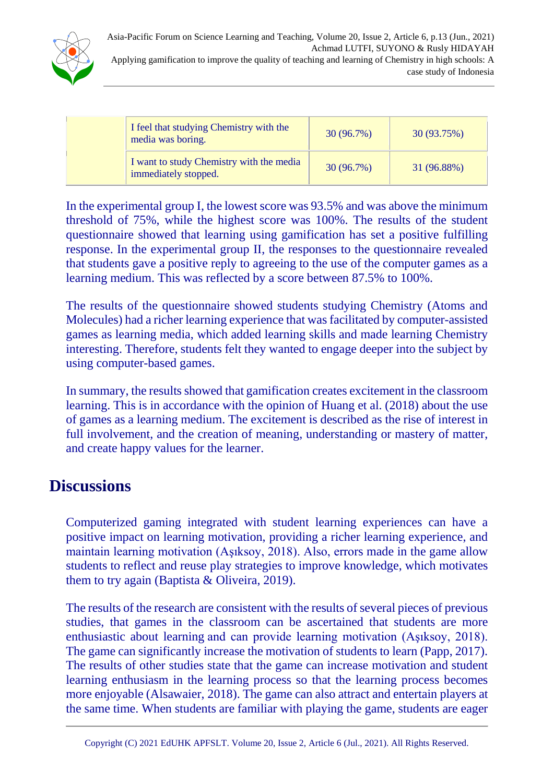

| I feel that studying Chemistry with the<br>media was boring.     | 30(96.7%)  | 30 (93.75%) |
|------------------------------------------------------------------|------------|-------------|
| I want to study Chemistry with the media<br>immediately stopped. | 30 (96.7%) | 31 (96.88%) |

In the experimental group I, the lowest score was 93.5% and was above the minimum threshold of 75%, while the highest score was 100%. The results of the student questionnaire showed that learning using gamification has set a positive fulfilling response. In the experimental group II, the responses to the questionnaire revealed that students gave a positive reply to agreeing to the use of the computer games as a learning medium. This was reflected by a score between 87.5% to 100%.

The results of the questionnaire showed students studying Chemistry (Atoms and Molecules) had a richer learning experience that was facilitated by computer-assisted games as learning media, which added learning skills and made learning Chemistry interesting. Therefore, students felt they wanted to engage deeper into the subject by using computer-based games.

In summary, the results showed that gamification creates excitement in the classroom learning. This is in accordance with the opinion of Huang et al. (2018) about the use of games as a learning medium. The excitement is described as the rise of interest in full involvement, and the creation of meaning, understanding or mastery of matter, and create happy values for the learner.

### **Discussions**

Computerized gaming integrated with student learning experiences can have a positive impact on learning motivation, providing a richer learning experience, and maintain learning motivation (Aşıksoy, 2018). Also, errors made in the game allow students to reflect and reuse play strategies to improve knowledge, which motivates them to try again (Baptista & Oliveira, 2019).

The results of the research are consistent with the results of several pieces of previous studies, that games in the classroom can be ascertained that students are more enthusiastic about learning and can provide learning motivation (Aşıksoy, 2018). The game can significantly increase the motivation of students to learn (Papp, 2017). The results of other studies state that the game can increase motivation and student learning enthusiasm in the learning process so that the learning process becomes more enjoyable (Alsawaier, 2018). The game can also attract and entertain players at the same time. When students are familiar with playing the game, students are eager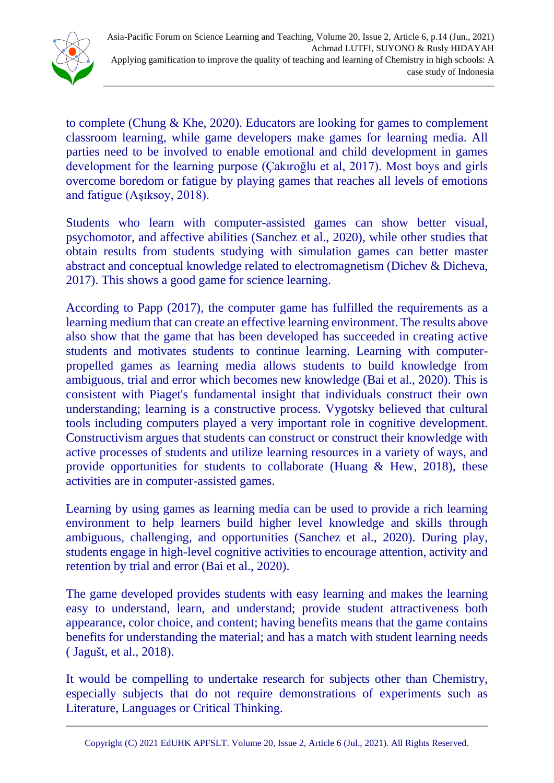

to complete (Chung & Khe, 2020). Educators are looking for games to complement classroom learning, while game developers make games for learning media. All parties need to be involved to enable emotional and child development in games development for the learning purpose (Çakıroğlu et al, 2017). Most boys and girls overcome boredom or fatigue by playing games that reaches all levels of emotions and fatigue (Aşıksoy, 2018).

Students who learn with computer-assisted games can show better visual, psychomotor, and affective abilities (Sanchez et al., 2020), while other studies that obtain results from students studying with simulation games can better master abstract and conceptual knowledge related to electromagnetism (Dichev & Dicheva, 2017). This shows a good game for science learning.

According to Papp (2017), the computer game has fulfilled the requirements as a learning medium that can create an effective learning environment. The results above also show that the game that has been developed has succeeded in creating active students and motivates students to continue learning. Learning with computerpropelled games as learning media allows students to build knowledge from ambiguous, trial and error which becomes new knowledge (Bai et al., 2020). This is consistent with Piaget's fundamental insight that individuals construct their own understanding; learning is a constructive process. Vygotsky believed that cultural tools including computers played a very important role in cognitive development. Constructivism argues that students can construct or construct their knowledge with active processes of students and utilize learning resources in a variety of ways, and provide opportunities for students to collaborate (Huang  $\&$  Hew, 2018), these activities are in computer-assisted games.

Learning by using games as learning media can be used to provide a rich learning environment to help learners build higher level knowledge and skills through ambiguous, challenging, and opportunities (Sanchez et al., 2020). During play, students engage in high-level cognitive activities to encourage attention, activity and retention by trial and error (Bai et al., 2020).

The game developed provides students with easy learning and makes the learning easy to understand, learn, and understand; provide student attractiveness both appearance, color choice, and content; having benefits means that the game contains benefits for understanding the material; and has a match with student learning needs ( Jagušt, et al., 2018).

It would be compelling to undertake research for subjects other than Chemistry, especially subjects that do not require demonstrations of experiments such as Literature, Languages or Critical Thinking.

Copyright (C) 2021 EdUHK [APFSLT.](http://www.eduhk.hk/apfslt) Volume 20, Issue 2, Article 6 (Jul., 2021). All Rights Reserved.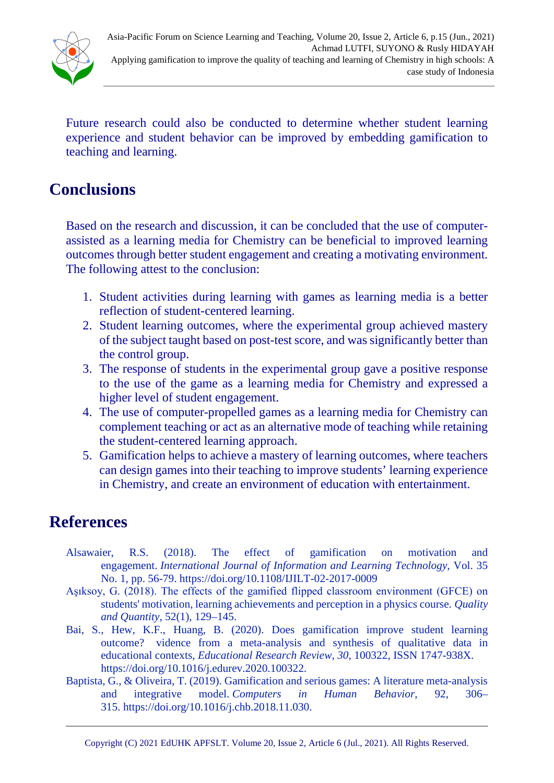

Future research could also be conducted to determine whether student learning experience and student behavior can be improved by embedding gamification to teaching and learning.

## **Conclusions**

Based on the research and discussion, it can be concluded that the use of computerassisted as a learning media for Chemistry can be beneficial to improved learning outcomes through better student engagement and creating a motivating environment. The following attest to the conclusion:

- 1. Student activities during learning with games as learning media is a better reflection of student-centered learning.
- 2. Student learning outcomes, where the experimental group achieved mastery of the subject taught based on post-test score, and was significantly better than the control group.
- 3. The response of students in the experimental group gave a positive response to the use of the game as a learning media for Chemistry and expressed a higher level of student engagement.
- 4. The use of computer-propelled games as a learning media for Chemistry can complement teaching or act as an alternative mode of teaching while retaining the student-centered learning approach.
- 5. Gamification helps to achieve a mastery of learning outcomes, where teachers can design games into their teaching to improve students' learning experience in Chemistry, and create an environment of education with entertainment.

### **References**

- Alsawaier, R.S. (2018). The effect of gamification on motivation and engagement. *International Journal of Information and Learning Technology*, Vol. 35 No. 1, pp. 56-79. <https://doi.org/10.1108/IJILT-02-2017-0009>
- Aşıksoy, G. (2018). The effects of the gamified flipped classroom environment (GFCE) on students' motivation, learning achievements and perception in a physics course. *Quality and Quantity*, 52(1), 129–145.
- Bai, S., Hew, K.F., Huang, B. (2020). Does gamification improve student learning outcome? vidence from a meta-analysis and synthesis of qualitative data in educational contexts, *Educational Research Review*, *30*, 100322, ISSN 1747-938X. [https://doi.org/10.1016/j.edurev.2020.100322.](https://doi.org/10.1016/j.edurev.2020.100322)
- Baptista, G., & Oliveira, T. (2019). Gamification and serious games: A literature meta-analysis and integrative model. *Computers in Human Behavior*, 92, 306– 315. [https://doi.org/10.1016/j.chb.2018.11.030.](https://doi.org/10.1016/j.chb.2018.11.030)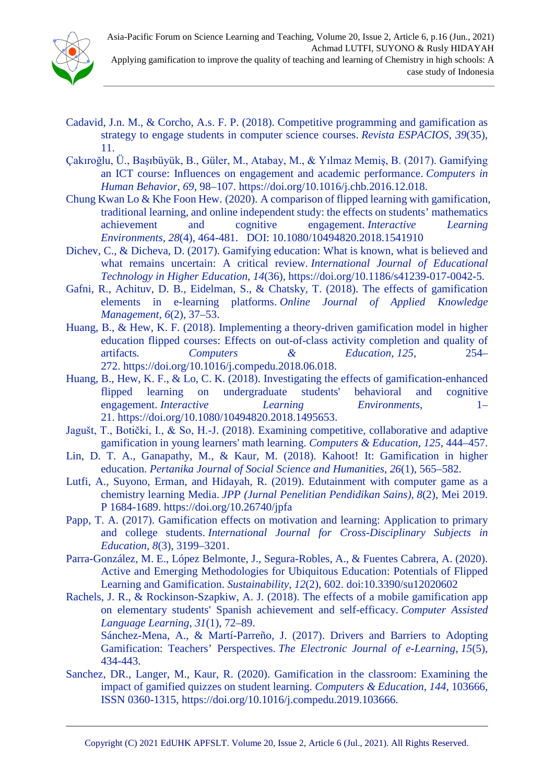- Cadavid, J.n. M., & Corcho, A.s. F. P. (2018). Competitive programming and gamification as strategy to engage students in computer science courses. *Revista ESPACIOS, 39*(35), 11.
- Çakıroğlu, Ü., Başıbüyük, B., Güler, M., Atabay, M., & Yılmaz Memiş, B. (2017). Gamifying an ICT course: Influences on engagement and academic performance. *Computers in Human Behavior*, *69*, 98–107. [https://doi.org/10.1016/j.chb.2016.12.018.](https://doi.org/10.1016/j.chb.2016.12.018)
- Chung Kwan Lo & Khe Foon Hew. (2020). A comparison of flipped learning with gamification, traditional learning, and online independent study: the effects on students' mathematics achievement and cognitive engagement. *Interactive Learning Environments, 28*(4), 464-481. DOI: [10.1080/10494820.2018.1541910](https://doi.org/10.1080/10494820.2018.1541910)
- Dichev, C., & Dicheva, D. (2017). Gamifying education: What is known, what is believed and what remains uncertain: A critical review. *International Journal of Educational Technology in Higher Education*, *14*(36), [https://doi.org/10.1186/s41239-017-0042-5.](https://doi.org/10.1186/s41239-017-0042-5)
- Gafni, R., Achituv, D. B., Eidelman, S., & Chatsky, T. (2018). The effects of gamification elements in e-learning platforms. *Online Journal of Applied Knowledge Management, 6*(2), 37–53.
- Huang, B., & Hew, K. F. (2018). Implementing a theory-driven gamification model in higher education flipped courses: Effects on out-of-class activity completion and quality of artifacts*. Computers & Education*, *125*, 254– 272. [https://doi.org/10.1016/j.compedu.2018.06.018.](https://doi.org/10.1016/j.compedu.2018.06.018)
- Huang, B., Hew, K. F., & Lo, C. K. (2018). Investigating the effects of gamification-enhanced flipped learning on undergraduate students' behavioral and cognitive engagement. *Interactive Learning Environments*, 1– 21. [https://doi.org/10.1080/10494820.2018.1495653.](https://doi.org/10.1080/10494820.2018.1495653)
- Jagušt, T., Botički, I., & So, H.-J. (2018). Examining competitive, collaborative and adaptive gamification in young learners' math learning. *Computers & Education*, *125*, 444–457.
- Lin, D. T. A., Ganapathy, M., & Kaur, M. (2018). Kahoot! It: Gamification in higher education. *Pertanika Journal of Social Science and Humanities*, *26*(1), 565–582.
- Lutfi, A., Suyono, Erman, and Hidayah, R. (2019). Edutainment with computer game as a chemistry learning Media. *JPP (Jurnal Penelitian Pendidikan Sains)*, *8*(2), Mei 2019. P 1684-1689. <https://doi.org/10.26740/jpfa>
- Papp, T. A. (2017). Gamification effects on motivation and learning: Application to primary and college students. *International Journal for Cross-Disciplinary Subjects in Education*, *8*(3), 3199–3201.
- Parra-González, M. E., López Belmonte, J., Segura-Robles, A., & Fuentes Cabrera, A. (2020). Active and Emerging Methodologies for Ubiquitous Education: Potentials of Flipped Learning and Gamification. *Sustainability*, *12*(2), 602. doi:10.3390/su12020602
- Rachels, J. R., & Rockinson-Szapkiw, A. J. (2018). The effects of a mobile gamification app on elementary students' Spanish achievement and self-efficacy. *Computer Assisted Language Learning*, *31*(1), 72–89.

Sánchez-Mena, A., & Martí-Parreño, J. (2017). Drivers and Barriers to Adopting Gamification: Teachers' Perspectives. *The Electronic Journal of e-Learning*, *15*(5), 434-443.

Sanchez, DR., Langer, M., Kaur, R. (2020). Gamification in the classroom: Examining the impact of gamified quizzes on student learning. *Computers & Education*, *144*, 103666, ISSN 0360-1315, [https://doi.org/10.1016/j.compedu.2019.103666.](https://doi.org/10.1016/j.compedu.2019.103666)